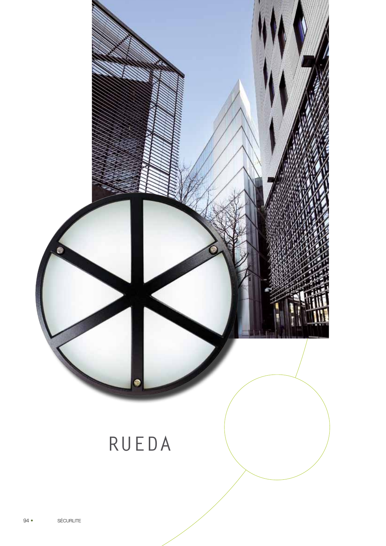

画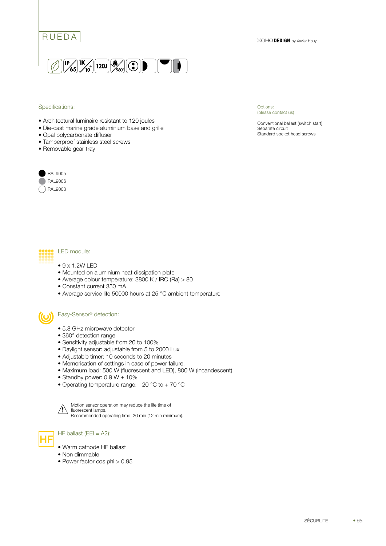



#### Specifications:

- Architectural luminaire resistant to 120 joules
- Die-cast marine grade aluminium base and grille
- Opal polycarbonate diffuser
- Tamperproof stainless steel screws
- Removable gear-tray



# RAL9006

Options: (please contact us)

Conventional ballast (switch start) Separate circuit Standard socket head screws



- $9 \times 1.2W$  LED
- Mounted on aluminium heat dissipation plate
- Average colour temperature: 3800 K / IRC (Ra) > 80
- Constant current 350 mA
- Average service life 50000 hours at 25 °C ambient temperature

#### Easy-Sensor® detection:

- 5.8 GHz microwave detector
- 360° detection range
- Sensitivity adjustable from 20 to 100%
- Daylight sensor: adjustable from 5 to 2000 Lux
- Adjustable timer: 10 seconds to 20 minutes
- Memorisation of settings in case of power failure.
- Maximum load: 500 W (fluorescent and LED), 800 W (incandescent)
- Standby power:  $0.9 W \pm 10\%$
- Operating temperature range: 20 °C to + 70 °C



Motion sensor operation may reduce the life time of fluorescent lamps. Recommended operating time: 20 min (12 min minimum).



 $H = \text{H}$  HF ballast (EEI = A2):

- Warm cathode HF ballast
- Non dimmable
- Power factor cos phi > 0.95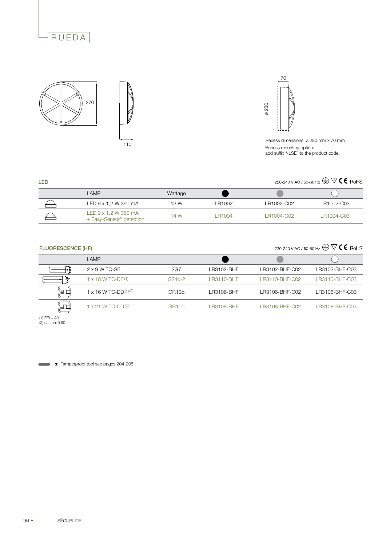





110



Recess mounting option: add suffix "-LSE" to the product code.

## 220-240 V AC / 50-60 Hz  $\bigoplus \nabla C$  C RoHS

| LAMP                                                                | Wattage |              |            |            |
|---------------------------------------------------------------------|---------|--------------|------------|------------|
| LED 9 x 1,2 W 350 mA                                                | 13 W    | LR1002       | LR1002-C02 | LR1002-C03 |
| LED $9 \times 1.2$ W 350 mA<br>+ Easy-Sensor <sup>®</sup> detection | 14 W    | <b>R1004</b> | LR1004-C02 | LR1004-C03 |

### FLUORESCENCE (HF)

LED

220-240 V AC / 50-60 Hz  $\bigoplus \overline{\mathbb{V}}$  (  $\in$  RoHS

|   | LAMP                          |                    |            |                |                |
|---|-------------------------------|--------------------|------------|----------------|----------------|
|   | 2 x 9 W TC-SE                 | 2G7                | LR3102-BHF | LR3102-BHF-C02 | LR3102-BHF-C03 |
| þ | $x$ 18 W TC-DE <sup>(1)</sup> | $G24q-2$           | LR3110-BHF | LR3110-BHF-C02 | LR3110-BHF-C03 |
|   | 1 x 16 W TC-DD(1)(2)          | GR <sub>10</sub> q | LR3106-BHF | LR3106-BHF-C02 | LR3106-BHF-C03 |
|   | $\vert$ x 21 W TC-DD(2)       | GR <sub>10</sub> q | LR3108-BHF | LR3108-BHF-C02 | LR3108-BHF-C03 |

(1) EEI = A3 (2) cos phi 0.60

Tamperproof tool see pages 204-205.